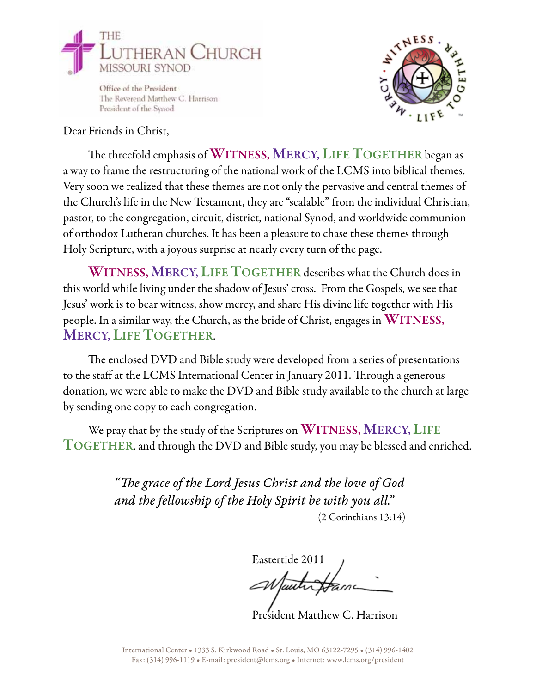

Office of the President The Reverend Matthew C. Harrison President of the Synod



## Dear Friends in Christ,

The threefold emphasis of WITNESS, MERCY, LIFE TOGETHER began as a way to frame the restructuring of the national work of the LCMS into biblical themes. Very soon we realized that these themes are not only the pervasive and central themes of the Church's life in the New Testament, they are "scalable" from the individual Christian, pastor, to the congregation, circuit, district, national Synod, and worldwide communion of orthodox Lutheran churches. It has been a pleasure to chase these themes through Holy Scripture, with a joyous surprise at nearly every turn of the page.

WITNESS, MERCY, LIFE TOGETHER describes what the Church does in this world while living under the shadow of Jesus' cross. From the Gospels, we see that Jesus' work is to bear witness, show mercy, and share His divine life together with His people. In a similar way, the Church, as the bride of Christ, engages in WITNESS, MERCY, LIFE TOGETHER.

The enclosed DVD and Bible study were developed from a series of presentations to the staff at the LCMS International Center in January 2011. Through a generous donation, we were able to make the DVD and Bible study available to the church at large by sending one copy to each congregation.

We pray that by the study of the Scriptures on WITNESS, MERCY, LIFE TOGETHER, and through the DVD and Bible study, you may be blessed and enriched.

> *"The grace of the Lord Jesus Christ and the love of God and the fellowship of the Holy Spirit be with you all."* (2 Corinthians 13:14)

Eastertide 2011

President Matthew C. Harrison